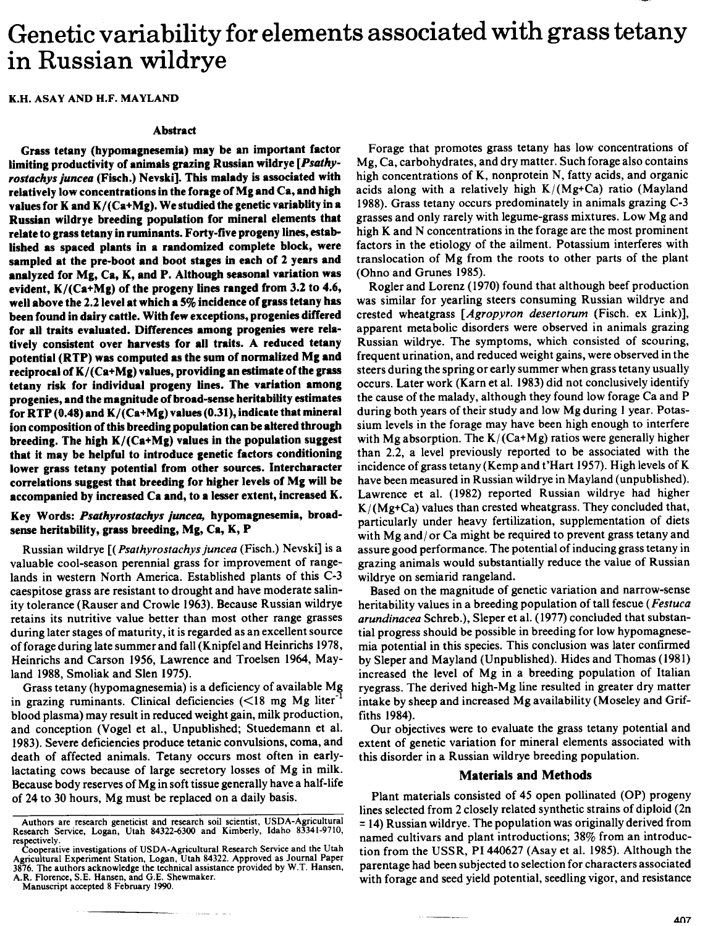# Genetic variability for elements associated with grass tetany in Russian wildrye

K.H. ASAY AND H.F. MAYLAND

#### **Abstract**

**Grass tetany (hypomagnesemia) may be an important factor limiting productivity of animals grazing Russian wildrye** *[Psathyrostachys juncea* **(Fisch.) Nevski]. This malady is associated with relatively low concentrations in the forage of Mg and Ca, and high values for K and K/(Ca+Mg). We studied the genetic variablity in a Russian wildrye breeding population for mineral elements that relate to grass tetany in ruminants. Forty-five progeny lines, established as spaced plants in a randomized complete block, were sampled at the pre-boot and boot stages in each of 2 years and analyzed for Mg, Ca, K, and P. Although seasonal variation was evident, K/(Ca+Mg) of the progeny lines ranged from 3.2 to 4.6, well above the 2.2 level at which a 5% incidence of grass tetany has been found in dairy cattle. With few exceptions, progenies differed for all traits evaluated. Differences among progenies were relatively consistent over harvests for all traits. A reduced tetany potential (RTP) was computed as the sum of normalized Mg and reciprocal of K/(Ca+Mg) values, providing an estimate of the grass tetany risk for individual progeny lines. The variation among progenies, and the magnitude of broad-sense heritability estimates for RTP (0.48) and K/(Ca+Mg) values (0.31), indicate that mineral ion composition of this breeding population can be altered through breeding. The high K/(Ca+Mg) values in the population suggest that it may be helpful to introduce genetic factors conditioning lower grass tetany potential from other sources. Intercharacter correlations suggest that breeding for higher levels of Mg will be accompanied by increased Ca and, to a lesser extent, increased K.**

## **Key Words:** *Psathyrostachys juncea,* **hypomagnesemia, broadsense heritability, grass breeding, Mg, Ca, K, P**

Russian wildrye *[(Psathyrostachys juncea* (Fisch.) Nevski] is a valuable cool-season perennial grass for improvement of rangelands in western North America. Established plants of this C-3 caespitose grass are resistant to drought and have moderate salinity tolerance (Rauser and Crowle 1963). Because Russian wildrye retains its nutritive value better than most other range grasses during later stages of maturity, it is regarded as an excellent source of forage during late summer and fall (Knipfel and Heinrichs 1978, Heinrichs and Carson 1956, Lawrence and Troelsen 1964, Mayland 1988, Smoliak and Slen 1975).

Grass tetany (hypomagnesemia) is a deficiency of available Mg in grazing ruminants. Clinical deficiencies  $(<18$  mg Mg liter<sup>-1</sup> blood plasma) may result in reduced weight gain, milk production, and conception (Vogel et al., Unpublished; Stuedemann et al. 1983). Severe deficiencies produce tetanic convulsions, coma, and death of affected animals. Tetany occurs most often in earlylactating cows because of large secretory losses of Mg in milk. Because body reserves of Mg in soft tissue generally have a half-life of 24 to 30 hours, Mg must be replaced on a daily basis.

Manuscript accepted 8 February 1990.

Forage that promotes grass tetany has low concentrations of Mg, Ca, carbohydrates, and dry matter. Such forage also contains high concentrations of K, nonprotein N, fatty acids, and organic acids along with a relatively high  $K/(Mg+Ca)$  ratio (Mayland 1988). Grass tetany occurs predominately in animals grazing C-3 grasses and only rarely with legume-grass mixtures. Low Mg and high K and N concentrations in the forage are the most prominent factors in the etiology of the ailment. Potassium interferes with translocation of Mg from the roots to other parts of the plant (Ohno and Grunes 1985).

Rogler and Lorenz (1970) found that although beef production was similar for yearling steers consuming Russian wildrye and crested wheatgrass *[Agropyron desertorum* (Fisch. ex Link)], apparent metabolic disorders were observed in animals grazing Russian wildrye. The symptoms, which consisted of scouring, frequent urination, and reduced weight gains, were observed in the steers during the spring or early summer when grass tetany usually occurs. Later work (Karn et al. 1983) did not conclusively identify the cause of the malady, although they found low forage Ca and P during both years of their study and low Mg during 1 year. Potassium levels in the forage may have been high enough to interfere with Mg absorption. The  $K/(Ca+Mg)$  ratios were generally higher than 2.2, a level previously reported to be associated with the incidence of grass tetany (Kemp and t'Hart 1957). High levels of K have been measured in Russian wildrye in Mayland (unpublished). Lawrence et al. (1982) reported Russian wildrye had higher  $K/(Mg+Ca)$  values than crested wheatgrass. They concluded that, particularly under heavy fertilization, supplementation of diets with Mg and/ or Ca might be required to prevent grass tetany and assure good performance. The potential of inducing grass tetany in grazing animals would substantially reduce the value of Russian wildrye on semiarid rangeland.

Based on the magnitude of genetic variation and narrow-sense heritability values in a breeding population of tall fescue *(Festuca arundinacea* Schreb.), Sleper et al. (1977) concluded that substantial progress should be possible in breeding for low hypomagnesemia potential in this species. This conclusion was later confirmed by Sleper and Mayland (Unpublished). Hides and Thomas (1981) increased the level of Mg in a breeding population of Italian ryegrass. The derived high-Mg line resulted in greater dry matter intake by sheep and increased Mg availability (Moseley and Griffiths 1984).

Our objectives were to evaluate the grass tetany potential and extent of genetic variation for mineral elements associated with this disorder in a Russian wildrye breeding population.

## **Materials and Methods**

Plant materials consisted of 45 open pollinated (OP) progeny lines selected from 2 closely related synthetic strains of diploid (2n = 14) Russian wildrye. The population was originally derived from named cultivars and plant introductions; 38% from an introduction from the USSR, PI 440627 (Asay et al. 1985). Although the parentage had been subjected to selection for characters associated with forage and seed yield potential, seedling vigor, and resistance

Authors are research geneticist and research soil scientist, USDA-Agricultural Research Service, Logan, Utah 84322-6300 and Kimberly, Idaho 83341-9710, respectively.

Cooperative investigations of USDA-Agricultural Research Service and the Utah Agricultural Experiment Station, Logan, Utah 84322. Approved as Journal Paper 3876. The authors acknowledge the technical assistance provided by W.T. Hansen, A.R. Florence, S.E. Hansen, and G.E. Shewmaker.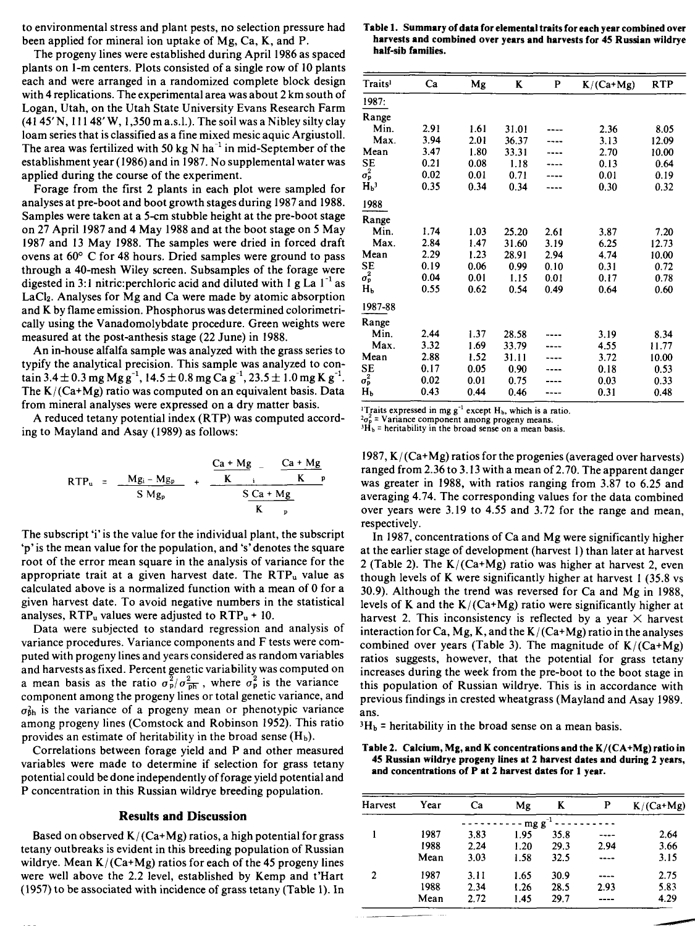to environmental stress and plant pests, no selection pressure had been applied for mineral ion uptake of Mg, Ca, K, and P.

The progeny lines were established during April 1986 as spaced plants on 1-m centers. Plots consisted of a single row of 10 plants each and were arranged in a randomized complete block design with 4 replications. The experimental area was about 2 km south of Logan, Utah, on the Utah State University Evans Research Farm  $(41 45' N, 111 48' W, 1,350 m a.s.l.)$ . The soil was a Nibley silty clay loam series that is classified as a fine mixed mesic aquic Argiustoll. The area was fertilized with 50 kg N ha<sup> $-1$ </sup> in mid-September of the establishment year (1986) and in 1987. No supplemental water was applied during the course of the experiment.

Forage from the first 2 plants in each plot were sampled for analyses at pre-boot and boot growth stages during 1987 and 1988. Samples were taken at a 5-cm stubble height at the pre-boot stage on 27 April 1987 and 4 May 1988 and at the boot stage on 5 May 1987 and 13 May 1988. The samples were dried in forced draft ovens at 60° C for 48 hours. Dried samples were ground to pass through a 40-mesh Wiley screen. Subsamples of the forage were digested in 3:1 nitric: perchloric acid and diluted with 1 g La  $1^{-1}$  as LaCl<sub>2</sub>. Analyses for Mg and Ca were made by atomic absorption and K by flame emission. Phosphorus was determined colorimetrically using the Vanadomolybdate procedure. Green weights were measured at the post-anthesis stage (22 June) in 1988.

An in-house alfalfa sample was analyzed with the grass series to typify the analytical precision. This sample was analyzed to contain 3.4  $\pm$  0.3 mg Mg g<sup>-1</sup>, 14.5  $\pm$  0.8 mg Ca g<sup>-1</sup>, 23.5  $\pm$  1.0 mg K g<sup>-1</sup>. The  $K/(Ca+Mg)$  ratio was computed on an equivalent basis. Data from mineral analyses were expressed on a dry matter basis.

A reduced tetany potential index (RTP) was computed according to Mayland and Asay (1989) as follows:

$$
RTP_u = \frac{Mg_i - Mg_p}{S\ Mg_p} + \frac{\frac{Ca + Mg}{K} - \frac{Ca + Mg}{K}p}{\frac{S\ Ca + Mg}{K}p}
$$

The subscript 'i' is the value for the individual plant, the subscript `p' is the mean value for the population, and 's' denotes the square root of the error mean square in the analysis of variance for the appropriate trait at a given harvest date. The  $RTP_u$  value as calculated above is a normalized function with a mean of 0 for a given harvest date. To avoid negative numbers in the statistical analyses,  $RTP_u$  values were adjusted to  $RTP_u + 10$ .

Data were subjected to standard regression and analysis of variance procedures. Variance components and F tests were computed with progeny lines and years considered as random variables and harvests as fixed. Percent genetic variability was computed on a mean basis as the ratio  $\sigma_p^2/\sigma_{\overline{p}h}^2$ , where  $\sigma_p^2$  is the variance component among the progeny lines or total genetic variance, and  $\sigma_{\rm bh}$  is the variance of a progeny mean or phenotypic variance among progeny lines (Comstock and Robinson 1952). This ratio provides an estimate of heritability in the broad sense  $(H_b)$ .

Correlations between forage yield and P and other measured variables were made to determine if selection for grass tetany potential could be done independently of forage yield potential and P concentration in this Russian wildrye breeding population.

## **Results and Discussion**

Based on observed  $K/(Ca+Mg)$  ratios, a high potential for grass tetany outbreaks is evident in this breeding population of Russian wildrye. Mean  $K/(Ca+Mg)$  ratios for each of the 45 progeny lines were well above the 2.2 level, established by Kemp and t'Hart (1957) to be associated with incidence of grass tetany (Table 1). In

|                    |  | Table 1. Summary of data for elemental traits for each year combined over |
|--------------------|--|---------------------------------------------------------------------------|
|                    |  | harvests and combined over years and harvests for 45 Russian wildrye      |
| half-sib families. |  |                                                                           |

| <b>Traits</b> <sup>1</sup> | Ca   | Mg   | K     | P    | $K/(Ca+Mg)$ | <b>RTP</b> |
|----------------------------|------|------|-------|------|-------------|------------|
| 1987:                      |      |      |       |      |             |            |
| Range                      |      |      |       |      |             |            |
| Min.                       | 2.91 | 1.61 | 31.01 |      | 2.36        | 8.05       |
| Max.                       | 3.94 | 2.01 | 36.37 |      | 3.13        | 12.09      |
| Mean                       | 3.47 | 1.80 | 33.31 |      | 2.70        | 10.00      |
| SE                         | 0.21 | 0.08 | 1.18  |      | 0.13        | 0.64       |
| $\sigma_{\rm p}^2$         | 0.02 | 0.01 | 0.71  |      | 0.01        | 0.19       |
| H <sub>b</sub>             | 0.35 | 0.34 | 0.34  |      | 0.30        | 0.32       |
| 1988                       |      |      |       |      |             |            |
| Range                      |      |      |       |      |             |            |
| Min.                       | 1.74 | 1.03 | 25.20 | 2.61 | 3.87        | 7.20       |
| Max.                       | 2.84 | 1.47 | 31.60 | 3.19 | 6.25        | 12.73      |
| Mean                       | 2.29 | 1.23 | 28.91 | 2.94 | 4.74        | 10.00      |
| <b>SE</b>                  | 0.19 | 0.06 | 0.99  | 0.10 | 0.31        | 0.72       |
| $\sigma_{\rm p}^2$         | 0.04 | 0.01 | 1.15  | 0.01 | 0.17        | 0.78       |
| Hь                         | 0.55 | 0.62 | 0.54  | 0.49 | 0.64        | 0.60       |
| 1987-88                    |      |      |       |      |             |            |
| Range                      |      |      |       |      |             |            |
| Min.                       | 2.44 | 1.37 | 28.58 |      | 3.19        | 8.34       |
| Max.                       | 3.32 | 1.69 | 33.79 |      | 4.55        | 11.77      |
| Mean                       | 2.88 | 1.52 | 31.11 |      | 3.72        | 10.00      |
| <b>SE</b>                  | 0.17 | 0.05 | 0.90  |      | 0.18        | 0.53       |
| $\sigma_{\rm p}^2$         | 0.02 | 0.01 | 0.75  |      | 0.03        | 0.33       |
| Hь                         | 0.43 | 0.44 | 0.46  |      | 0.31        | 0.48       |

<sup>1</sup>Traits expressed in mg  $g^{-1}$  except  $H_b$ , which is a ratio.

= Variance component among progeny means.  ${}^{3}\text{H}_{b}$  = heritability in the broad sense on a mean basis.

1987,  $K/(Ca+Mg)$  ratios for the progenies (averaged over harvests) ranged from 2.36 to 3.13 with a mean of 2.70. The apparent danger was greater in 1988, with ratios ranging from 3.87 to 6.25 and averaging 4.74. The corresponding values for the data combined over years were 3.19 to 4.55 and 3.72 for the range and mean, respectively.

In 1987, concentrations of Ca and Mg were significantly higher at the earlier stage of development (harvest 1) than later at harvest 2 (Table 2). The  $K/(Ca+Mg)$  ratio was higher at harvest 2, even though levels of K were significantly higher at harvest 1 (35.8 vs 30.9). Although the trend was reversed for Ca and Mg in 1988, levels of K and the  $K/(Ca+Mg)$  ratio were significantly higher at harvest 2. This inconsistency is reflected by a year  $\times$  harvest interaction for Ca, Mg, K, and the  $K/(Ca+Mg)$  ratio in the analyses combined over years (Table 3). The magnitude of  $K/(Ca+Mg)$ ratios suggests, however, that the potential for grass tetany increases during the week from the pre-boot to the boot stage in this population of Russian wildrye. This is in accordance with previous findings in crested wheatgrass (Mayland and Asay 1989. ans.

 $3H<sub>b</sub>$  = heritability in the broad sense on a mean basis.

#### **Table 2. Calcium, Mg, and K concentrations and the K/(CA+Mg) ratio in 45 Russian wildrye progeny** lines at 2 **harvest dates and during** 2 **years, and concentrations of P at 2 harvest dates for 1 year.**

| Harvest | Year | Ca   | Mg   | K    | P    | $K/(Ca+Mg)$ |
|---------|------|------|------|------|------|-------------|
|         |      |      | mg g |      |      |             |
|         | 1987 | 3.83 | 1.95 | 35.8 |      | 2.64        |
|         | 1988 | 2.24 | 1.20 | 29.3 | 2.94 | 3.66        |
|         | Mean | 3.03 | 1.58 | 32.5 | ---- | 3.15        |
| 2       | 1987 | 3.11 | 1.65 | 30.9 | ---- | 2.75        |
|         | 1988 | 2.34 | 1.26 | 28.5 | 2.93 | 5.83        |
|         | Mean | 2.72 | 1.45 | 29.7 |      | 4.29        |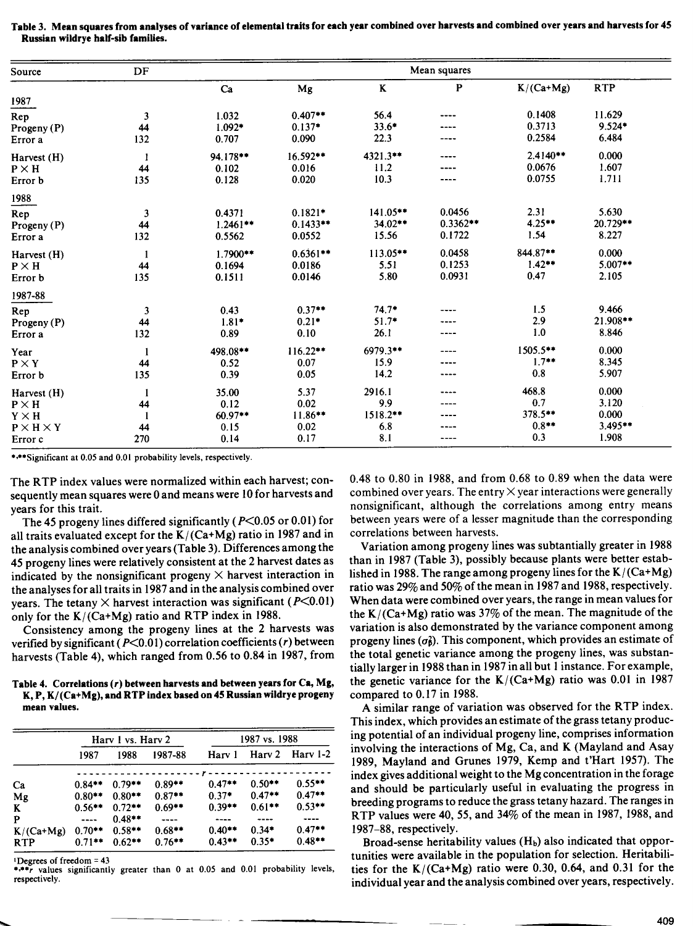| Source                         | DF           |            | Mean squares |            |            |             |            |  |
|--------------------------------|--------------|------------|--------------|------------|------------|-------------|------------|--|
|                                |              | Ca         | Mg           | $\bf K$    | P          | $K/(Ca+Mg)$ | <b>RTP</b> |  |
| 1987                           |              |            |              |            |            |             |            |  |
| Rep                            | 3            | 1.032      | $0.407**$    | 56.4       |            | 0.1408      | 11.629     |  |
| Progeny (P)                    | 44           | $1.092*$   | $0.137*$     | $33.6*$    | ----       | 0.3713      | $9.524*$   |  |
| Error a                        | 132          | 0.707      | 0.090        | 22.3       | ----       | 0.2584      | 6.484      |  |
| Harvest (H)                    | $\mathbf{1}$ | 94.178**   | $16.592**$   | 4321.3**   |            | $2.4140**$  | 0.000      |  |
| $\texttt{P} \times \texttt{H}$ | 44           | 0.102      | 0.016        | 11.2       |            | 0.0676      | 1.607      |  |
| Error b                        | 135          | 0.128      | 0.020        | 10.3       | ----       | 0.0755      | 1.711      |  |
| 1988                           |              |            |              |            |            |             |            |  |
| Rep                            | 3            | 0.4371     | $0.1821*$    | $141.05**$ | 0.0456     | 2.31        | 5.630      |  |
| Progeny (P)                    | 44           | $1.2461**$ | $0.1433**$   | $34.02**$  | $0.3362**$ | $4.25**$    | 20.729**   |  |
| Error a                        | 132          | 0.5562     | 0.0552       | 15.56      | 0.1722     | 1.54        | 8.227      |  |
| Harvest (H)                    |              | 1.7900 **  | $0.6361**$   | $113.05**$ | 0.0458     | 844.87**    | 0.000      |  |
| $P \times H$                   | 44           | 0.1694     | 0.0186       | 5.51       | 0.1253     | $1.42**$    | $5.007**$  |  |
| Error b                        | 135          | 0.1511     | 0.0146       | 5.80       | 0.0931     | 0.47        | 2.105      |  |
| 1987-88                        |              |            |              |            |            |             |            |  |
| Rep                            | 3            | 0.43       | $0.37**$     | $74.7*$    |            | 1.5         | 9.466      |  |
| Progeny (P)                    | 44           | $1.81*$    | $0.21*$      | $51.7*$    |            | 2.9         | 21.908**   |  |
| Error a                        | 132          | 0.89       | 0.10         | 26.1       | ----       | 1.0         | 8.846      |  |
| Year                           | 1            | 498.08**   | $116.22**$   | 6979.3**   |            | 1505.5**    | 0.000      |  |
| $P \times Y$                   | 44           | 0.52       | 0.07         | 15.9       |            | $1.7**$     | 8.345      |  |
| Error b                        | 135          | 0.39       | 0.05         | 14.2       | ----       | 0.8         | 5.907      |  |
| Harvest (H)                    | 1            | 35.00      | 5.37         | 2916.1     |            | 468.8       | 0.000      |  |
| $\mathbf{P} \times \mathbf{H}$ | 44           | 0.12       | 0.02         | 9.9        |            | 0.7         | 3.120      |  |
| $\text{Y} \times \text{H}$     | $\mathbf{1}$ | $60.97**$  | $11.86**$    | 1518.2**   |            | 378.5**     | 0.000      |  |
| $P \times H \times Y$          | 44           | 0.15       | 0.02         | 6.8        |            | $0.8***$    | 3.495**    |  |
| Error c                        | 270          | 0.14       | 0.17         | 8.1        | ----       | 0.3         | 1.908      |  |

**Table** 3. **Mean squares from analyses of variance of elemental traits for each year combined over harvests and combined over years and harvests for 45 Russian wildrye half-sib families.**

\*•\*Significant at 0.05 and 0.01 probability levels, respectively.

The RTP index values were normalized within each harvest; consequently mean squares were 0 and means were 10 for harvests and years for this trait.

The 45 progeny lines differed significantly ( $P<0.05$  or 0.01) for all traits evaluated except for the  $K/(Ca+Mg)$  ratio in 1987 and in the analysis combined over years (Table 3). Differences among the 45 progeny lines were relatively consistent at the 2 harvest dates as indicated by the nonsignificant progeny  $\times$  harvest interaction in the analyses for all traits in 1987 and in the analysis combined over years. The tetany  $\times$  harvest interaction was significant (P<0.01) only for the  $K/(Ca+Mg)$  ratio and RTP index in 1988.

Consistency among the progeny lines at the 2 harvests was verified by significant (P<0.01) correlation coefficients *(r)* between harvests (Table 4), which ranged from 0.56 to 0.84 in 1987, from

**Table 4. Correlations** *(r)* **between harvests and between years for Ca, Mg,** K, **P, K/(Ca+Mg), and RTP index based on 45 Russian wildrye progeny mean values.**

|             | Hary 1 vs. Hary 2 |          |          | 1987 vs. 1988 |           |          |
|-------------|-------------------|----------|----------|---------------|-----------|----------|
|             | 1987              | 1988     | 1987-88  | Harv 1        | Harv 2    | Hary 1-2 |
|             |                   |          |          |               |           |          |
| Ca          | $0.84**$          | $0.79**$ | $0.89**$ | $0.47**$      | $0.50**$  | $0.55**$ |
| Mg          | $0.80**$          | $0.80**$ | $0.87**$ | $0.37*$       | $0.47**$  | $0.47**$ |
| K           | $0.56**$          | $0.72**$ | $0.69**$ | $0.39**$      | $0.61***$ | $0.53**$ |
| P           | ----              | $0.48**$ | ----     |               |           |          |
| $K/(Ca+Mg)$ | $0.70**$          | $0.58**$ | $0.68**$ | $0.40**$      | $0.34*$   | $0.47**$ |
| <b>RTP</b>  | $0.71***$         | $0.62**$ | $0.76**$ | $0.43**$      | $0.35*$   | $0.48**$ |

'Degrees of freedom = 43

\*\*\*\*r values significantly greater than 0 at 0.05 and 0.01 probability levels, respectively.

0.48 to 0.80 in 1988, and from 0.68 to 0.89 when the data were combined over years. The entry  $\times$  year interactions were generally nonsignificant, although the correlations among entry means between years were of a lesser magnitude than the corresponding correlations between harvests.

Variation among progeny lines was subtantially greater in 1988 than in 1987 (Table 3), possibly because plants were better established in 1988. The range among progeny lines for the K/ (Ca+Mg) ratio was 29% and 50% of the mean in 1987 and 1988, respectively. When data were combined over years, the range in mean values for the  $K/(Ca+Mg)$  ratio was 37% of the mean. The magnitude of the variation is also demonstrated by the variance component among progeny lines  $(\sigma_{\beta})$ . This component, which provides an estimate of the total genetic variance among the progeny lines, was substantially larger in 1988 than in 1987 in all but 1 instance. For example, the genetic variance for the  $K/(Ca+Mg)$  ratio was 0.01 in 1987 compared to 0.17 in 1988.

A similar range of variation was observed for the RTP index. This index, which provides an estimate of the grass tetany producing potential of an individual progeny line, comprises information involving the interactions of Mg, Ca, and K (Mayland and Asay 1989, Mayland and Grunes 1979, Kemp and t'Hart 1957). The index gives additional weight to the Mg concentration in the forage and should be particularly useful in evaluating the progress in breeding programs to reduce the grass tetany hazard. The ranges in RTP values were 40, 55, and 34% of the mean in 1987, 1988, and 1987-88, respectively.

Broad-sense heritability values  $(H_b)$  also indicated that opportunities were available in the population for selection. Heritabilities for the  $K/(Ca+Mg)$  ratio were 0.30, 0.64, and 0.31 for the individual year and the analysis combined over years, respectively.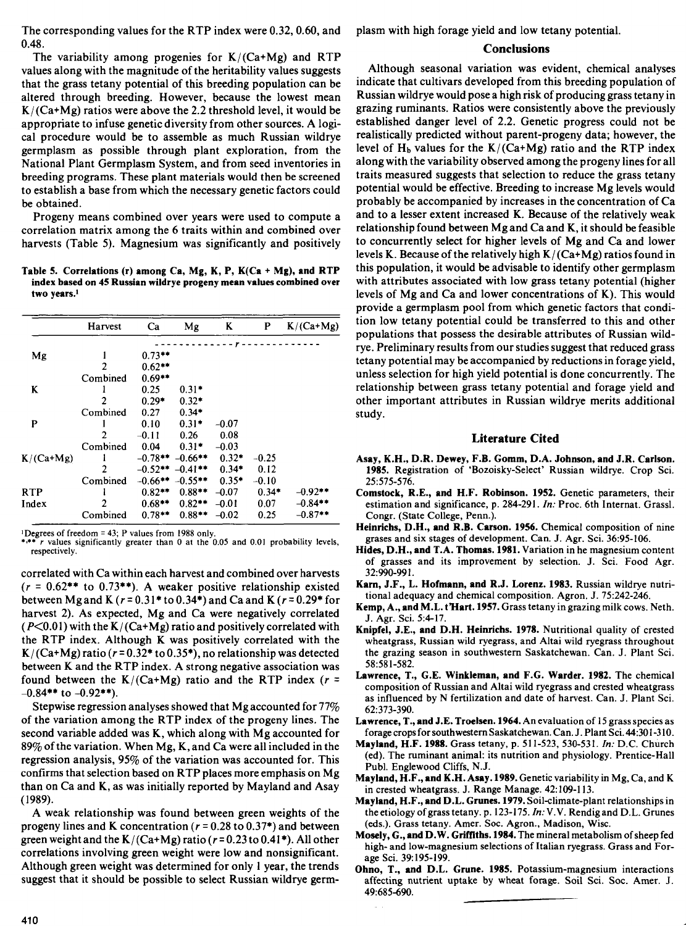The corresponding values for the RTP index were 0.32, 0.60, and 0.48.

The variability among progenies for  $K/(Ca+Mg)$  and RTP values along with the magnitude of the heritability values suggests that the grass tetany potential of this breeding population can be altered through breeding. However, because the lowest mean  $K/(Ca+Mg)$  ratios were above the 2.2 threshold level, it would be appropriate to infuse genetic diversity from other sources. A logical procedure would be to assemble as much Russian wildrye germplasm as possible through plant exploration, from the National Plant Germplasm System, and from seed inventories in breeding programs. These plant materials would then be screened to establish a base from which the necessary genetic factors could be obtained.

Progeny means combined over years were used to compute a correlation matrix among the 6 traits within and combined over harvests (Table 5). Magnesium was significantly and positively

Table 5. Correlations (r) among Ca, Mg, K, **P,** K(Ca + Mg), **and RTP index based on 45 Russian wildrye progeny mean values combined over two years'**

|             | Harvest  | Ca                    | Mg        | K       | P       | $K/(Ca+Mg)$ |
|-------------|----------|-----------------------|-----------|---------|---------|-------------|
|             |          |                       |           |         |         |             |
| Mg          |          | $0.73**$              |           |         |         |             |
|             | 2        | $0.62**$              |           |         |         |             |
|             | Combined | $0.69**$              |           |         |         |             |
| K           |          | 0.25                  | $0.31*$   |         |         |             |
|             | 2        | $0.29*$               | $0.32*$   |         |         |             |
|             | Combined | 0.27                  | $0.34*$   |         |         |             |
| P           |          | 0.10                  | $0.31*$   | $-0.07$ |         |             |
|             | 2        | $-0.11$               | 0.26      | 0.08    |         |             |
|             | Combined | 0.04                  | $0.31*$   | $-0.03$ |         |             |
| $K/(Ca+Mg)$ |          | $-0.78**$ $-0.66**$   |           | $0.32*$ | $-0.25$ |             |
|             | 2        | $-0.52**$ $-0.41**$   |           | $0.34*$ | 0.12    |             |
|             | Combined | $-0.66***$ $-0.55***$ |           | $0.35*$ | $-0.10$ |             |
| <b>RTP</b>  |          | $0.82**$              | $0.88**$  | $-0.07$ | $0.34*$ | $-0.92$ **  |
| Index       | 2        | $0.68**$              | $0.82***$ | $-0.01$ | 0.07    | $-0.84**$   |
|             | Combined | $0.78***$             | $0.88**$  | $-0.02$ | 0.25    | $-0.87**$   |

'Degrees of freedom = 43; P values from 1988 only. *•,\*• r* values significantly greater than 0 at the 0.05 and 0.01 probability levels, respectively.

correlated with Ca within each harvest and combined over harvests  $(r = 0.62$ <sup>\*\*</sup> to 0.73<sup>\*\*</sup>). A weaker positive relationship existed between Mg and K *(r =* 0.31\* to 0.34\*) and Ca and K *(r =* 0.29\* for harvest 2). As expected, Mg and Ca were negatively correlated  $(P<0.01)$  with the K/(Ca+Mg) ratio and positively correlated with the RTP index. Although K was positively correlated with the K/ $(Ca+Mg)$  ratio  $(r=0.32*$  to  $0.35*$ ), no relationship was detected between K and the RTP index. A strong negative association was found between the  $K/(Ca+Mg)$  ratio and the RTP index  $(r =$  $-0.84**$  to  $-0.92**$ ).

Stepwise regression analyses showed that Mg accounted for 77% of the variation among the RTP index of the progeny lines. The second variable added was K, which along with Mg accounted for 89% of the variation. When Mg, K, and Ca were all included in the regression analysis, 95% of the variation was accounted for. This confirms that selection based on RTP places more emphasis on Mg than on Ca and K, as was initially reported by Mayland and Asay (1989).

A weak relationship was found between green weights of the progeny lines and K concentration *(r =* 0.28 to 0.37\*) and between green weight and the  $K/(Ca+Mg)$  ratio  $(r=0.23$  to  $0.41^*$ ). All other correlations involving green weight were low and nonsignificant. Although green weight was determined for only 1 year, the trends suggest that it should be possible to select Russian wildrye germplasm with high forage yield and low tetany potential.

## **Conclusions**

Although seasonal variation was evident, chemical analyses indicate that cultivars developed from this breeding population of Russian wildrye would pose a high risk of producing grass tetany in grazing ruminants. Ratios were consistently above the previously established danger level of 2.2. Genetic progress could not be realistically predicted without parent-progeny data; however, the level of  $H_b$  values for the K/(Ca+Mg) ratio and the RTP index along with the variability observed among the progeny lines for all traits measured suggests that selection to reduce the grass tetany potential would be effective. Breeding to increase Mg levels would probably be accompanied by increases in the concentration of Ca and to a lesser extent increased K. Because of the relatively weak relationship found between Mg and Ca and K, it should be feasible to concurrently select for higher levels of Mg and Ca and lower levels K. Because of the relatively high  $K/(Ca+Mg)$  ratios found in this population, it would be advisable to identify other germplasm with attributes associated with low grass tetany potential (higher levels of Mg and Ca and lower concentrations of K). This would provide a germplasm pool from which genetic factors that condition low tetany potential could be transferred to this and other populations that possess the desirable attributes of Russian wildrye. Preliminary results from our studies suggest that reduced grass tetany potential may be accompanied by reductions in forage yield, unless selection for high yield potential is done concurrently. The relationship between grass tetany potential and forage yield and other important attributes in Russian wildrye merits additional study.

## **Literature Cited**

- Asay, **K.H., D.R. Dewey, F.B. Gomm, D.A. Johnson, and J.R. Carlson.** 1985. Registration of `Bozoisky-Select' Russian wildrye. Crop Sci. 25:575-576.
- **Comstock, R.E., and H.F. Robinson. 1952.** Genetic parameters, their estimation and significance, p. 284-291. *In:* Proc. 6th Internat. Grassi. Congr. (State College, Penn.).
- **Heinrichs, D.H., and R.B. Carson. 1956.** Chemical composition of nine grases and six stages of development. Can. J. Agr. Sci. 36:95-106.
- **Hides, D.H., and** T.A. **Thomas. 1981.** Variation in he magnesium content of grasses and its improvement by selection. J. Sci. Food Agr. 32:990-991.
- Karn, J.F., L. **Hofmann, and R.J. Lorenz. 1983.** Russian wildrye nutritional adequacy and chemical composition. Agron. J. 75:242-246.
- **Kemp,** A., **and** M.L. **t'Hart. 1957.** Grass tetany in grazing milk cows. Neth. J. Agr. Sci. 5:4-17.
- **Knipfel, J.E., and D.H. Heinrichs. 1978.** Nutritional quality of crested wheatgrass, Russian wild ryegrass, and Altai wild ryegrass throughout the grazing season in southwestern Saskatchewan. Can. J. Plant Sci. 58:581-582.
- Lawrence, T., G.E. Winkleman, and F.G. Warder. 1982. The chemical composition of Russian and Altai wild ryegrass and crested wheatgrass as influenced by N fertilization and date of harvest. Can. J. Plant Sci. 62:373-390.
- Lawrence, **T., and J.E. Troelsen. 1964.** An evaluation of 15 grass species as forage crops for southwestern Saskatchewan. Can. J. Plant Sci. 44:301-310.
- **Mayland, H.F. 1988.** Grass tetany, p. 511-523, 530-531. *In:* D.C. Church (ed). The ruminant animal: its nutrition and physiology. Prentice-Hall Publ. Englewood Cliffs, N.J.
- **Mayland, H.F., and K.H. Asay. 1989.** Genetic variability in Mg, Ca, and K in crested wheatgrass. J. Range Manage. 42:109-113.
- **Mayland, H.F., and D.L. Grunes. 1979.** Soil-climate-plant relationships in the etiology of grass tetany. p. 123-175. *In:* V.V. Rendig and D.L. Grunes (eds.). Grass tetany. Amer. Soc. Agron., Madison, Wisc.
- **Mosely, G., and D.W. Griffiths. 1984.** The mineral metabolism of sheep fed high- and low-magnesium selections of Italian ryegrass. Grass and Forage Sci. 39:195-199.
- **Ohno, T., and D.L. Grune. 1985.** Potassium-magnesium interactions affecting nutrient uptake by wheat forage. Soil Sci. Soc. Amer. J. 49:685-690.